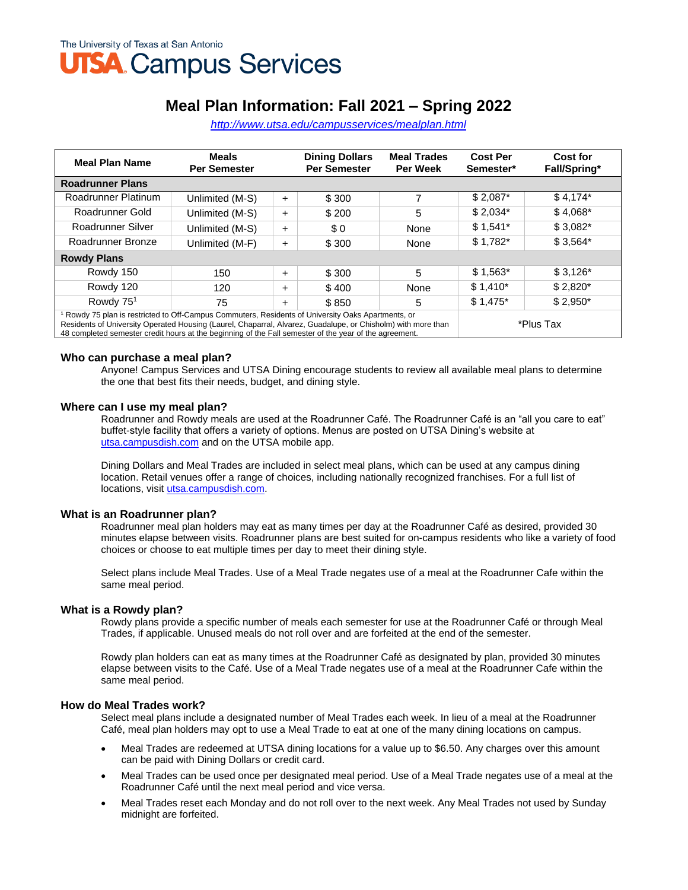# **Meal Plan Information: Fall 2021 – Spring 2022**

*<http://www.utsa.edu/campusservices/mealplan.html>*

| <b>Meal Plan Name</b>                                                                                                                                                                                                                                                                                                                   | <b>Meals</b><br><b>Per Semester</b> |           | <b>Dining Dollars</b><br><b>Per Semester</b> | <b>Meal Trades</b><br><b>Per Week</b> | <b>Cost Per</b><br>Semester* | Cost for<br>Fall/Spring* |
|-----------------------------------------------------------------------------------------------------------------------------------------------------------------------------------------------------------------------------------------------------------------------------------------------------------------------------------------|-------------------------------------|-----------|----------------------------------------------|---------------------------------------|------------------------------|--------------------------|
| <b>Roadrunner Plans</b>                                                                                                                                                                                                                                                                                                                 |                                     |           |                                              |                                       |                              |                          |
| Roadrunner Platinum                                                                                                                                                                                                                                                                                                                     | Unlimited (M-S)                     | $\ddot{}$ | \$300                                        | 7                                     | $$2,087*$                    | $$4,174*$                |
| Roadrunner Gold                                                                                                                                                                                                                                                                                                                         | Unlimited (M-S)                     | $\ddot{}$ | \$200                                        | 5                                     | $$2,034*$                    | $$4.068*$                |
| Roadrunner Silver                                                                                                                                                                                                                                                                                                                       | Unlimited (M-S)                     | $\ddot{}$ | \$0                                          | None                                  | $$1,541*$                    | $$3,082*$                |
| Roadrunner Bronze                                                                                                                                                                                                                                                                                                                       | Unlimited (M-F)                     | $\ddot{}$ | \$300                                        | None                                  | $$1,782*$                    | $$3,564*$                |
| <b>Rowdy Plans</b>                                                                                                                                                                                                                                                                                                                      |                                     |           |                                              |                                       |                              |                          |
| Rowdy 150                                                                                                                                                                                                                                                                                                                               | 150                                 | $\pm$     | \$300                                        | 5                                     | $$1,563*$                    | \$3,126"                 |
| Rowdy 120                                                                                                                                                                                                                                                                                                                               | 120                                 | $\ddot{}$ | \$400                                        | None                                  | $$1,410*$                    | $$2,820*$                |
| Rowdy 75 <sup>1</sup>                                                                                                                                                                                                                                                                                                                   | 75                                  | $\ddot{}$ | \$850                                        | 5                                     | $$1,475$ *                   | $$2,950*$                |
| Rowdy 75 plan is restricted to Off-Campus Commuters, Residents of University Oaks Apartments, or<br>Residents of University Operated Housing (Laurel, Chaparral, Alvarez, Guadalupe, or Chisholm) with more than<br>*Plus Tax<br>48 completed semester credit hours at the beginning of the Fall semester of the year of the agreement. |                                     |           |                                              |                                       |                              |                          |

#### **Who can purchase a meal plan?**

Anyone! Campus Services and UTSA Dining encourage students to review all available meal plans to determine the one that best fits their needs, budget, and dining style.

#### **Where can I use my meal plan?**

Roadrunner and Rowdy meals are used at the Roadrunner Café. The Roadrunner Café is an "all you care to eat" buffet-style facility that offers a variety of options. Menus are posted on UTSA Dining's website at [utsa.campusdish.com](https://utsa.campusdish.com/) and on the UTSA mobile app.

Dining Dollars and Meal Trades are included in select meal plans, which can be used at any campus dining location. Retail venues offer a range of choices, including nationally recognized franchises. For a full list of locations, visit [utsa.campusdish.com.](https://utsa.campusdish.com/)

#### **What is an Roadrunner plan?**

Roadrunner meal plan holders may eat as many times per day at the Roadrunner Café as desired, provided 30 minutes elapse between visits. Roadrunner plans are best suited for on-campus residents who like a variety of food choices or choose to eat multiple times per day to meet their dining style.

Select plans include Meal Trades. Use of a Meal Trade negates use of a meal at the Roadrunner Cafe within the same meal period.

#### **What is a Rowdy plan?**

Rowdy plans provide a specific number of meals each semester for use at the Roadrunner Café or through Meal Trades, if applicable. Unused meals do not roll over and are forfeited at the end of the semester.

Rowdy plan holders can eat as many times at the Roadrunner Café as designated by plan, provided 30 minutes elapse between visits to the Café. Use of a Meal Trade negates use of a meal at the Roadrunner Cafe within the same meal period.

## **How do Meal Trades work?**

Select meal plans include a designated number of Meal Trades each week. In lieu of a meal at the Roadrunner Café, meal plan holders may opt to use a Meal Trade to eat at one of the many dining locations on campus.

- Meal Trades are redeemed at UTSA dining locations for a value up to \$6.50. Any charges over this amount can be paid with Dining Dollars or credit card.
- Meal Trades can be used once per designated meal period. Use of a Meal Trade negates use of a meal at the Roadrunner Café until the next meal period and vice versa.
- Meal Trades reset each Monday and do not roll over to the next week. Any Meal Trades not used by Sunday midnight are forfeited.